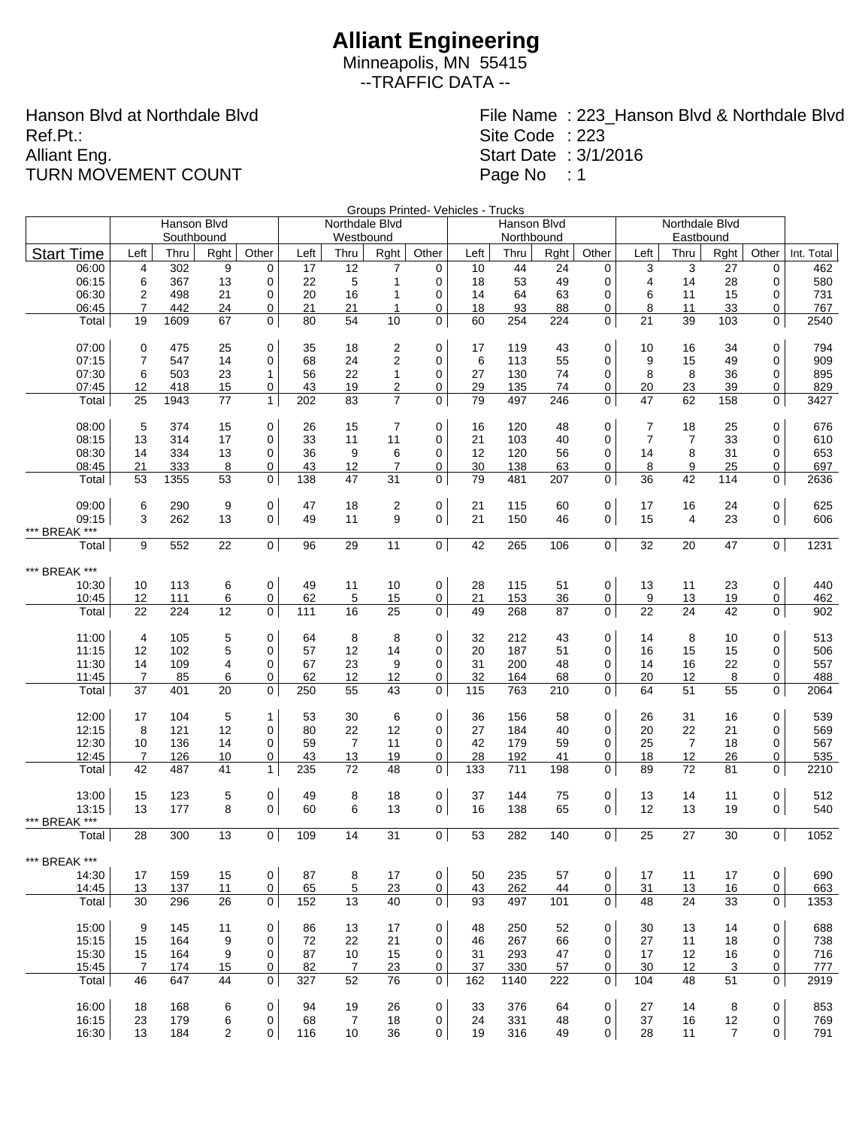Minneapolis, MN 55415 --TRAFFIC DATA --

Hanson Blvd at Northdale Blvd Ref.Pt.: Alliant Eng. TURN MOVEMENT COUNT

File Name : 223\_Hanson Blvd & Northdale Blvd

Site Code : 223

Start Date : 3/1/2016

Page No : 1

Groups Printed- Vehicles - Trucks

|                   |                      | Hanson Blvd |          |                | GIUUPS FIIIIIEU VEIIIUES I IIUUNS<br>Northdale Blvd<br>Northdale Blvd<br>Hanson Blvd |                |                     |                          |           |            |           |                  |                |                   |                |                |             |
|-------------------|----------------------|-------------|----------|----------------|--------------------------------------------------------------------------------------|----------------|---------------------|--------------------------|-----------|------------|-----------|------------------|----------------|-------------------|----------------|----------------|-------------|
|                   |                      | Southbound  |          |                |                                                                                      | Westbound      |                     |                          |           | Northbound |           |                  |                |                   |                |                |             |
| <b>Start Time</b> | Left                 | Thru        | Rght     | Other          | Left                                                                                 | Thru           | Rght                | Other                    | Left      | Thru       | Rght      | Other            | Left           | Eastbound<br>Thru | Rght           | Other          | Int. Total  |
| 06:00             | 4                    | 302         | 9        | $\mathbf 0$    | 17                                                                                   | 12             | 7                   | 0                        | 10        | 44         | 24        | $\mathbf 0$      | 3              | 3                 | 27             | 0              | 462         |
| 06:15             | 6                    | 367         | 13       | 0              | 22                                                                                   | $\mathbf 5$    | 1                   | 0                        | 18        | 53         | 49        | 0                | 4              | 14                | 28             | 0              | 580         |
| 06:30             | $\overline{2}$       | 498         | 21       | $\mathbf 0$    | 20                                                                                   | 16             | 1                   | 0                        | 14        | 64         | 63        | $\mathbf 0$      | 6              | 11                | 15             | 0              | 731         |
| 06:45             | $\overline{7}$       | 442         | 24       | 0              | 21                                                                                   | 21             | 1                   | 0                        | 18        | 93         | 88        | 0                | 8              | 11                | 33             | 0              | 767         |
| Total             | 19                   | 1609        | 67       | $\mathbf 0$    | 80                                                                                   | 54             | 10                  | $\mathbf 0$              | 60        | 254        | 224       | 0                | 21             | 39                | 103            | 0              | 2540        |
| 07:00             | 0                    | 475         | 25       | 0              | 35                                                                                   | 18             | $\overline{c}$      | $\mathbf 0$              | 17        | 119        | 43        | 0                | 10             | 16                | 34             | 0              | 794         |
| 07:15             | $\overline{7}$       | 547         | 14       | $\mathbf 0$    | 68                                                                                   | 24             | 2                   | 0                        | 6         | 113        | 55        | $\mathbf 0$      | 9              | 15                | 49             | 0              | 909         |
| 07:30             | 6                    | 503         | 23       | $\mathbf{1}$   | 56                                                                                   | 22             | $\mathbf{1}$        | 0                        | 27        | 130        | 74        | 0                | 8              | 8                 | 36             | 0              | 895         |
| 07:45             | 12                   | 418         | 15       | 0              | 43                                                                                   | 19             | 2                   | 0                        | 29        | 135        | 74        | 0                | 20             | 23                | 39             | 0              | 829         |
| Total             | 25                   | 1943        | 77       | $\mathbf{1}$   | 202                                                                                  | 83             | $\overline{7}$      | $\mathbf 0$              | 79        | 497        | 246       | $\mathbf 0$      | 47             | 62                | 158            | 0              | 3427        |
|                   |                      |             |          |                |                                                                                      |                |                     |                          |           |            |           |                  |                |                   |                |                |             |
| 08:00             | 5                    | 374         | 15       | 0              | 26                                                                                   | 15             | $\overline{7}$      | 0                        | 16        | 120        | 48        | 0                | 7              | 18                | 25             | 0              | 676         |
| 08:15             | 13                   | 314         | 17       | $\mathbf 0$    | 33                                                                                   | 11             | 11                  | $\mathbf 0$              | 21        | 103        | 40        | $\mathbf 0$      | $\overline{7}$ | $\overline{7}$    | 33             | 0              | 610         |
| 08:30<br>08:45    | 14<br>21             | 334<br>333  | 13<br>8  | 0<br>0         | 36<br>43                                                                             | 9<br>12        | 6<br>$\overline{7}$ | $\mathbf 0$<br>0         | 12<br>30  | 120<br>138 | 56<br>63  | 0<br>0           | 14<br>8        | 8<br>9            | 31<br>25       | 0<br>0         | 653<br>697  |
| Total             | 53                   | 1355        | 53       | 0              | 138                                                                                  | 47             | 31                  | 0                        | 79        | 481        | 207       | 0                | 36             | 42                | 114            | 0              | 2636        |
|                   |                      |             |          |                |                                                                                      |                |                     |                          |           |            |           |                  |                |                   |                |                |             |
| 09:00             | 6                    | 290         | 9        | 0              | 47                                                                                   | 18             | 2                   | 0                        | 21        | 115        | 60        | $\mathbf 0$      | 17             | 16                | 24             | 0              | 625         |
| 09:15             | 3                    | 262         | 13       | $\mathsf{O}$   | 49                                                                                   | 11             | 9                   | $\mathbf 0$              | 21        | 150        | 46        | $\mathbf 0$      | 15             | 4                 | 23             | 0              | 606         |
| *** BREAK ***     |                      |             |          |                |                                                                                      |                |                     |                          |           |            |           |                  |                |                   |                |                |             |
| Total             | 9                    | 552         | 22       | $\mathbf 0$    | 96                                                                                   | 29             | 11                  | $\overline{0}$           | 42        | 265        | 106       | $\overline{0}$   | 32             | 20                | 47             | 0 <sup>1</sup> | 1231        |
| *** BREAK ***     |                      |             |          |                |                                                                                      |                |                     |                          |           |            |           |                  |                |                   |                |                |             |
| 10:30             | 10                   | 113         | 6        | 0              | 49                                                                                   | 11             | 10                  | $\mathsf{O}\xspace$      | 28        | 115        | 51        | $\mathbf 0$      | 13             | 11                | 23             | 0              | 440         |
| 10:45             | 12                   | 111         | 6        | 0              | 62                                                                                   | 5              | 15                  | 0                        | 21        | 153        | 36        | 0                | 9              | 13                | 19             | 0              | 462         |
| Total             | 22                   | 224         | 12       | 0              | 111                                                                                  | 16             | 25                  | 0                        | 49        | 268        | 87        | 0                | 22             | 24                | 42             | 0              | 902         |
|                   |                      |             |          |                |                                                                                      |                |                     |                          |           |            |           |                  |                |                   |                |                |             |
| 11:00             | 4                    | 105         | 5        | 0              | 64                                                                                   | 8              | 8                   | $\mathbf 0$              | 32        | 212        | 43        | 0                | 14             | 8                 | 10             | 0              | 513         |
| 11:15             | 12                   | 102         | 5        | 0              | 57                                                                                   | 12             | 14                  | 0                        | 20        | 187        | 51        | 0                | 16             | 15                | 15             | $\Omega$       | 506         |
| 11:30             | 14                   | 109         | 4        | 0              | 67                                                                                   | 23             | 9                   | 0                        | 31        | 200        | 48        | 0                | 14             | 16                | 22             | 0              | 557         |
| 11:45<br>Total    | $\overline{7}$<br>37 | 85<br>401   | 6<br>20  | 0<br>0         | 62<br>250                                                                            | 12<br>55       | 12<br>43            | 0<br>$\mathbf 0$         | 32<br>115 | 164<br>763 | 68<br>210 | 0<br>$\mathbf 0$ | 20<br>64       | 12<br>51          | 8<br>55        | 0<br>0         | 488<br>2064 |
|                   |                      |             |          |                |                                                                                      |                |                     |                          |           |            |           |                  |                |                   |                |                |             |
| 12:00             | 17                   | 104         | 5        | 1              | 53                                                                                   | 30             | 6                   | $\mathbf 0$              | 36        | 156        | 58        | 0                | 26             | 31                | 16             | 0              | 539         |
| 12:15             | 8                    | 121         | 12       | 0              | 80                                                                                   | 22             | 12                  | $\mathbf 0$              | 27        | 184        | 40        | $\mathbf 0$      | 20             | 22                | 21             | 0              | 569         |
| 12:30             | 10                   | 136         | 14       | $\mathbf 0$    | 59                                                                                   | $\overline{7}$ | 11                  | $\mathbf 0$              | 42        | 179        | 59        | $\mathbf 0$      | 25             | $\overline{7}$    | 18             | 0              | 567         |
| 12:45             | $\overline{7}$       | 126         | 10       | 0              | 43                                                                                   | 13             | 19                  | 0                        | 28        | 192        | 41        | 0                | 18             | 12                | 26             | 0              | 535         |
| Total             | 42                   | 487         | 41       | $\mathbf{1}$   | 235                                                                                  | 72             | 48                  | $\mathbf 0$              | 133       | 711        | 198       | 0                | 89             | 72                | 81             | 0              | 2210        |
| 13:00             | 15                   | 123         | 5        | 0              | 49                                                                                   | 8              | 18                  | 0                        | 37        | 144        | 75        | $\mathbf 0$      | 13             | 14                | 11             | 0              | 512         |
| 13:15             | 13                   | 177         | 8        | $\mathbf 0$    | 60                                                                                   | 6              | 13                  | 0                        | 16        | 138        | 65        | $\mathbf 0$      | 12             | 13                | 19             | 0              | 540         |
| *** BREAK ***     |                      |             |          |                |                                                                                      |                |                     |                          |           |            |           |                  |                |                   |                |                |             |
| Total             | 28                   | 300         | 13       | $\overline{0}$ | 109                                                                                  | 14             | 31                  | $\mathbf 0$              | 53        | 282        | 140       | 0 <sup>1</sup>   | 25             | 27                | 30             | 0 <sup>1</sup> | 1052        |
|                   |                      |             |          |                |                                                                                      |                |                     |                          |           |            |           |                  |                |                   |                |                |             |
| *** BREAK ***     |                      |             |          |                |                                                                                      |                |                     |                          |           |            |           |                  |                |                   |                |                |             |
| 14:30             | 17                   | 159         | 15       | 0              | 87                                                                                   | 8              | 17                  | $\mathbf 0$              | 50        | 235        | 57        | $\mathbf 0$      | 17             | 11                | 17             | $\mathsf{O}$   | 690         |
| 14:45<br>Total    | 13<br>30             | 137<br>296  | 11<br>26 | 0<br>0         | 65<br>152                                                                            | 5<br>13        | 23<br>40            | $\mathsf{O}\xspace$<br>0 | 43<br>93  | 262<br>497 | 44<br>101 | 0<br>$\mathbf 0$ | 31<br>48       | 13<br>24          | 16<br>33       | 0<br>0         | 663<br>1353 |
|                   |                      |             |          |                |                                                                                      |                |                     |                          |           |            |           |                  |                |                   |                |                |             |
| 15:00             | 9                    | 145         | 11       | 0              | 86                                                                                   | 13             | 17                  | $\mathbf 0$              | 48        | 250        | 52        | 0                | 30             | 13                | 14             | 0              | 688         |
| 15:15             | 15                   | 164         | 9        | 0              | 72                                                                                   | 22             | 21                  | 0                        | 46        | 267        | 66        | 0                | 27             | 11                | 18             | 0              | 738         |
| 15:30             | 15                   | 164         | 9        | 0              | 87                                                                                   | 10             | 15                  | 0                        | 31        | 293        | 47        | 0                | 17             | 12                | 16             | 0              | 716         |
| 15:45             | 7                    | 174         | 15       | 0              | 82                                                                                   | $\overline{7}$ | 23                  | 0                        | 37        | 330        | 57        | 0                | 30             | 12                | 3              | 0              | 777         |
| Total             | 46                   | 647         | 44       | 0              | 327                                                                                  | 52             | 76                  | 0                        | 162       | 1140       | 222       | 0                | 104            | 48                | 51             | $\mathbf{0}$   | 2919        |
| 16:00             | 18                   | 168         | 6        | 0              | 94                                                                                   | 19             | 26                  | $\mathbf 0$              | 33        | 376        | 64        | $\mathbf 0$      | 27             | 14                | 8              | 0              | 853         |
| 16:15             | 23                   | 179         | 6        | 0              | 68                                                                                   | $\overline{7}$ | 18                  | 0                        | 24        | 331        | 48        | 0                | 37             | 16                | 12             | 0              | 769         |
| 16:30             | 13                   | 184         | 2        | $\mathbf 0$    | 116                                                                                  | 10             | 36                  | 0                        | 19        | 316        | 49        | 0                | 28             | 11                | $\overline{7}$ | 0              | 791         |
|                   |                      |             |          |                |                                                                                      |                |                     |                          |           |            |           |                  |                |                   |                |                |             |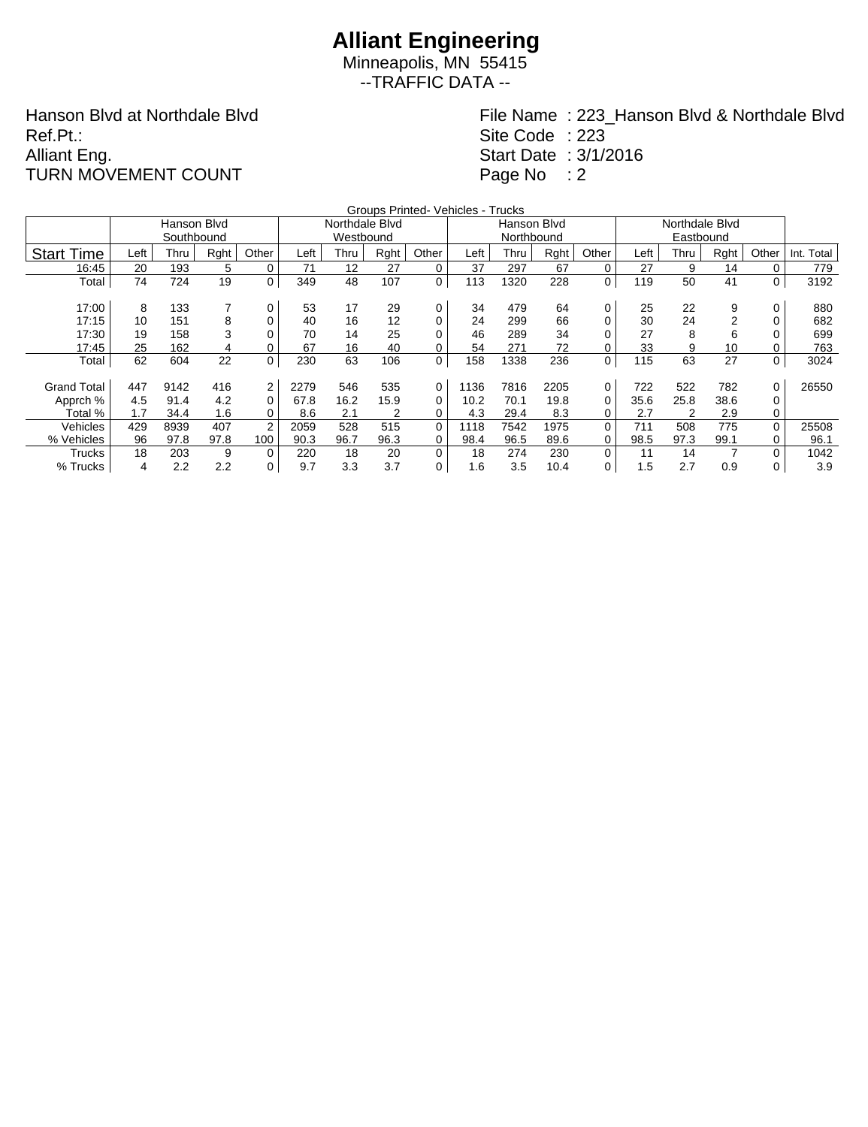Minneapolis, MN 55415 --TRAFFIC DATA --

Hanson Blvd at Northdale Blvd Ref.Pt.: Alliant Eng. TURN MOVEMENT COUNT

File Name : 223\_Hanson Blvd & Northdale Blvd

Site Code : 223

Start Date : 3/1/2016

Page No : 2

|                    | Groups Printed- Vehicles - Trucks |             |      |             |      |                |      |          |      |             |      |          |      |      |      |          |            |
|--------------------|-----------------------------------|-------------|------|-------------|------|----------------|------|----------|------|-------------|------|----------|------|------|------|----------|------------|
|                    |                                   | Hanson Blvd |      |             |      | Northdale Blvd |      |          |      | Hanson Blvd |      |          |      |      |      |          |            |
|                    |                                   | Southbound  |      |             |      | Westbound      |      |          |      | Northbound  |      |          |      |      |      |          |            |
| <b>Start Time</b>  | Left                              | Thru        | Rght | Other       | Left | Thru           | Rght | Other    | Left | Thru        | Rght | Other    | Left | Thru | Rght | Other    | Int. Total |
| 16:45              | 20                                | 193         | 5    | $\mathbf 0$ | 71   | 12             | 27   | 0        | 37   | 297         | 67   | 0        | 27   | 9    | 14   | 0        | 779        |
| Total              | 74                                | 724         | 19   | 0           | 349  | 48             | 107  | 0        | 113  | 1320        | 228  | 0        | 119  | 50   | 41   | 0        | 3192       |
| 17:00              | 8                                 | 133         | 7    | 0           | 53   | 17             | 29   | 0        | 34   | 479         | 64   |          |      | 22   | 9    | 0        | 880        |
|                    |                                   |             |      |             |      |                |      |          |      |             |      | 0        | 25   |      |      |          |            |
| 17:15              | 10                                | 151         | 8    | 0           | 40   | 16             | 12   | 0        | 24   | 299         | 66   | 0        | 30   | 24   |      | 0        | 682        |
| 17:30              | 19                                | 158         | 3    | 0           | 70   | 14             | 25   | $\Omega$ | 46   | 289         | 34   | 0        | 27   | 8    | 6    | 0        | 699        |
| 17:45              | 25                                | 162         | 4    | 0           | 67   | 16             | 40   | 0        | 54   | 271         | 72   | 0        | 33   | 9    | 10   | 0        | 763        |
| Total              | 62                                | 604         | 22   | 0           | 230  | 63             | 106  | 0        | 158  | 1338        | 236  | 0        | 115  | 63   | 27   | 0        | 3024       |
|                    |                                   |             |      |             |      |                |      |          |      |             |      |          |      |      |      |          |            |
| <b>Grand Total</b> | 447                               | 9142        | 416  | 2           | 2279 | 546            | 535  | 0        | 1136 | 7816        | 2205 | 0        | 722  | 522  | 782  | $\Omega$ | 26550      |
| Apprch %           | 4.5                               | 91.4        | 4.2  | 0           | 67.8 | 16.2           | 15.9 | 0        | 10.2 | 70.1        | 19.8 | 0        | 35.6 | 25.8 | 38.6 | 0        |            |
| Total %            | 1.7                               | 34.4        | 1.6  | 0           | 8.6  | 2.1            | 2    | 0        | 4.3  | 29.4        | 8.3  | 0        | 2.7  | 2    | 2.9  | 0        |            |
| Vehicles           | 429                               | 8939        | 407  | 2           | 2059 | 528            | 515  | 0        | 1118 | 7542        | 1975 | $\Omega$ | 711  | 508  | 775  | $\Omega$ | 25508      |
| % Vehicles         | 96                                | 97.8        | 97.8 | 100         | 90.3 | 96.7           | 96.3 | 0        | 98.4 | 96.5        | 89.6 | 0        | 98.5 | 97.3 | 99.1 | 0        | 96.1       |
| Trucks             | 18                                | 203         | 9    | 0           | 220  | 18             | 20   | 0        | 18   | 274         | 230  | 0        | 11   | 14   |      | $\Omega$ | 1042       |
| % Trucks           | 4                                 | 2.2         | 2.2  | 0           | 9.7  | 3.3            | 3.7  | 0        | 1.6  | 3.5         | 10.4 | 0        | 1.5  | 2.7  | 0.9  | 0        | 3.9        |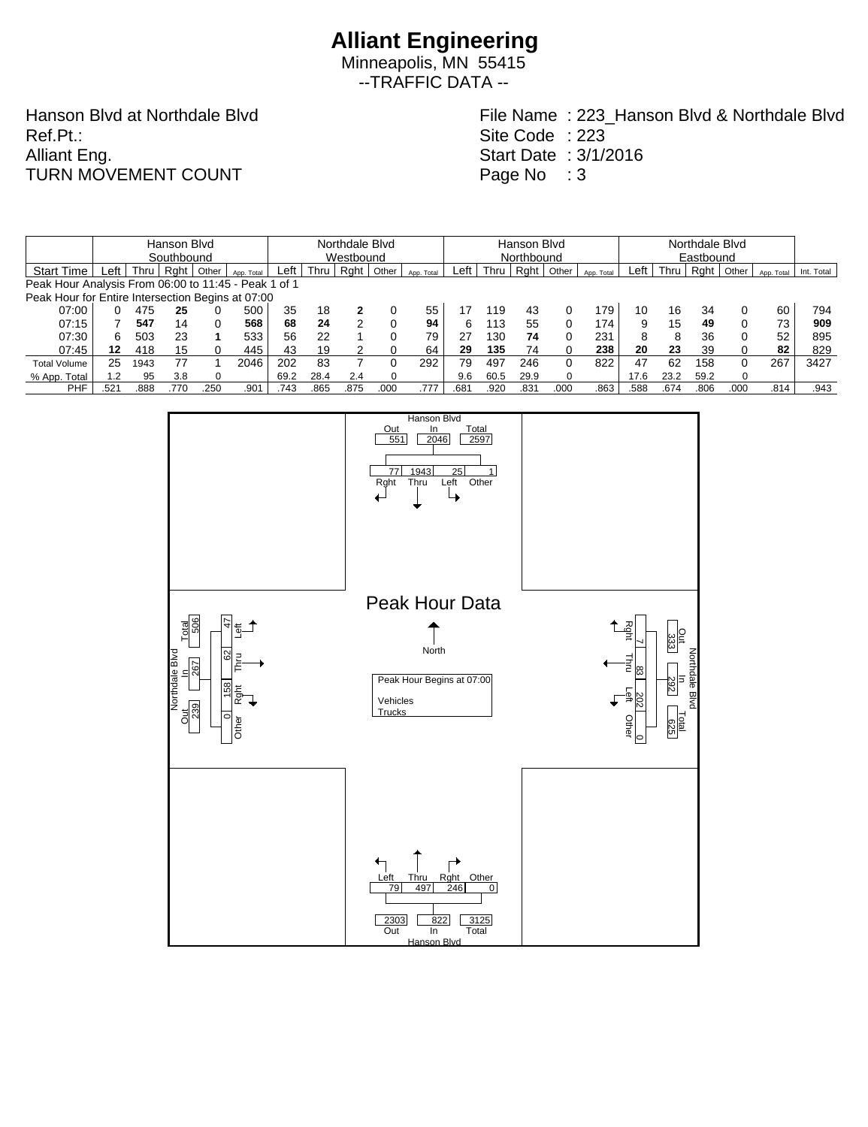Minneapolis, MN 55415 --TRAFFIC DATA --

Hanson Blvd at Northdale Blvd Ref.Pt.: Alliant Eng. TURN MOVEMENT COUNT

File Name : 223\_Hanson Blvd & Northdale Blvd Site Code : 223

Start Date : 3/1/2016 Page No : 3

|                                                      |            |      | Hanson Blvd |       |            | Northdale Blvd |           |      |       |            |                  | Hanson Blvd |                  |          |            |      | Northdale Blvd |      |           |            |            |  |  |  |
|------------------------------------------------------|------------|------|-------------|-------|------------|----------------|-----------|------|-------|------------|------------------|-------------|------------------|----------|------------|------|----------------|------|-----------|------------|------------|--|--|--|
|                                                      | Southbound |      |             |       |            |                | Westbound |      |       |            |                  |             | Northbound       |          |            |      |                |      | Eastbound |            |            |  |  |  |
| <b>Start Time</b>                                    | ∟eft       | Thru | Raht        | Other | App. Total | ∟eft           | Thru      | Rght | Other | App. Total | Left l           | Thru        | Rght             | Other    | App. Total | Left | Thru           | Raht | Other     | App. Total | Int. Total |  |  |  |
| Peak Hour Analysis From 06:00 to 11:45 - Peak 1 of 1 |            |      |             |       |            |                |           |      |       |            |                  |             |                  |          |            |      |                |      |           |            |            |  |  |  |
| Peak Hour for Entire Intersection Begins at 07:00    |            |      |             |       |            |                |           |      |       |            |                  |             |                  |          |            |      |                |      |           |            |            |  |  |  |
| 07:00                                                |            | 475  | 25          |       | 500        | 35             | 18        |      |       | 55         |                  | 119         | 43               |          | 179        | 10   | 16             | 34   |           | 60         | 794        |  |  |  |
| 07:15                                                |            | 547  | 14          |       | 568        | 68             | 24        | ◠    |       | 94         | 6                | 113         | 55               |          | 174        | 9    | 15             | 49   |           | 73         | 909        |  |  |  |
| 07:30                                                | 6.         | 503  | 23          |       | 533        | 56             | 22        |      | 0     | 79         | 27               | 130         | 74               |          | 231        | 8    | 8              | 36   |           | 52         | 895        |  |  |  |
| 07:45                                                | 12         | 418  | 15          |       | 445        | 43             | 19        |      |       | 64         | 29               | 135         | 74               |          | 238        | 20   | 23             | 39   |           | 82         | 829        |  |  |  |
| <b>Total Volume</b>                                  | 25         | 1943 | 77          |       | 2046       | 202            | 83        |      |       | 292        | 79               | 497         | 246              |          | 822        | 47   | 62             | 158  | 0         | 267        | 3427       |  |  |  |
| % App. Total                                         | 1.2        | 95   | 3.8         |       |            | 69.2           | 28.4      | 2.4  |       |            | 9.6              | 60.5        | 29.9             | $\Omega$ |            | 17.6 | 23.2           | 59.2 | $\Omega$  |            |            |  |  |  |
| <b>PHF</b>                                           | 521        | 888  | .770        | 250   | .901       | .743           | .865      | .875 | .000  | .777       | .68 <sup>1</sup> | .920        | .83 <sup>4</sup> | .000     | .863       | .588 | .674           | .806 | .000      | .814       | .943       |  |  |  |